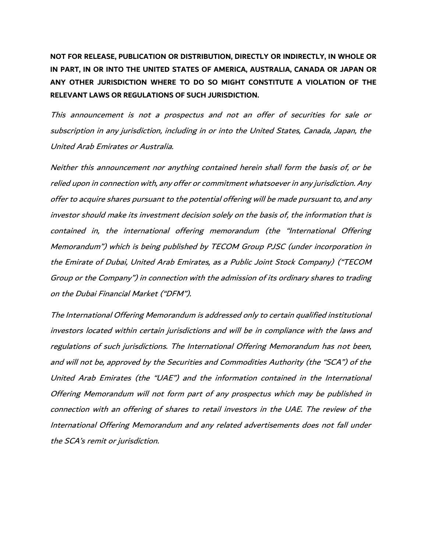**NOT FOR RELEASE, PUBLICATION OR DISTRIBUTION, DIRECTLY OR INDIRECTLY, IN WHOLE OR IN PART, IN OR INTO THE UNITED STATES OF AMERICA, AUSTRALIA, CANADA OR JAPAN OR ANY OTHER JURISDICTION WHERE TO DO SO MIGHT CONSTITUTE A VIOLATION OF THE RELEVANT LAWS OR REGULATIONS OF SUCH JURISDICTION.**

This announcement is not a prospectus and not an offer of securities for sale or subscription in any jurisdiction, including in or into the United States, Canada, Japan, the United Arab Emirates or Australia.

Neither this announcement nor anything contained herein shall form the basis of, or be relied upon in connection with, any offer or commitment whatsoever in any jurisdiction. Any offer to acquire shares pursuant to the potential offering will be made pursuant to, and any investor should make its investment decision solely on the basis of, the information that is contained in, the international offering memorandum (the "International Offering Memorandum") which is being published by TECOM Group PJSC (under incorporation in the Emirate of Dubai, United Arab Emirates, as a Public Joint Stock Company) ("TECOM Group or the Company") in connection with the admission of its ordinary shares to trading on the Dubai Financial Market ("DFM").

The International Offering Memorandum is addressed only to certain qualified institutional investors located within certain jurisdictions and will be in compliance with the laws and regulations of such jurisdictions. The International Offering Memorandum has not been, and will not be, approved by the Securities and Commodities Authority (the "SCA") of the United Arab Emirates (the "UAE") and the information contained in the International Offering Memorandum will not form part of any prospectus which may be published in connection with an offering of shares to retail investors in the UAE. The review of the International Offering Memorandum and any related advertisements does not fall under the SCA's remit or jurisdiction.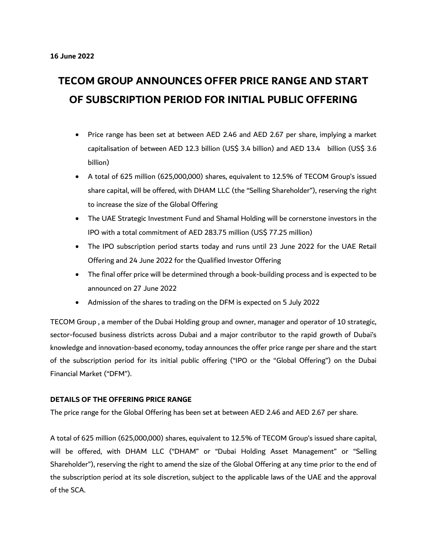# **TECOM GROUP ANNOUNCES OFFER PRICE RANGE AND START OF SUBSCRIPTION PERIOD FOR INITIAL PUBLIC OFFERING**

- Price range has been set at between AED 2.46 and AED 2.67 per share, implying a market capitalisation of between AED 12.3 billion (US\$ 3.4 billion) and AED 13.4 billion (US\$ 3.6 billion)
- A total of 625 million (625,000,000) shares, equivalent to 12.5% of TECOM Group's issued share capital, will be offered, with DHAM LLC (the "Selling Shareholder"), reserving the right to increase the size of the Global Offering
- The UAE Strategic Investment Fund and Shamal Holding will be cornerstone investors in the IPO with a total commitment of AED 283.75 million (US\$ 77.25 million)
- The IPO subscription period starts today and runs until 23 June 2022 for the UAE Retail Offering and 24 June 2022 for the Qualified Investor Offering
- The final offer price will be determined through a book-building process and is expected to be announced on 27 June 2022
- Admission of the shares to trading on the DFM is expected on 5 July 2022

TECOM Group , a member of the Dubai Holding group and owner, manager and operator of 10 strategic, sector-focused business districts across Dubai and a major contributor to the rapid growth of Dubai's knowledge and innovation-based economy, today announces the offer price range per share and the start of the subscription period for its initial public offering ("IPO or the "Global Offering") on the Dubai Financial Market ("DFM").

#### **DETAILS OF THE OFFERING PRICE RANGE**

The price range for the Global Offering has been set at between AED 2.46 and AED 2.67 per share.

A total of 625 million (625,000,000) shares, equivalent to 12.5% of TECOM Group's issued share capital, will be offered, with DHAM LLC ("DHAM" or "Dubai Holding Asset Management" or "Selling Shareholder"), reserving the right to amend the size of the Global Offering at any time prior to the end of the subscription period at its sole discretion, subject to the applicable laws of the UAE and the approval of the SCA.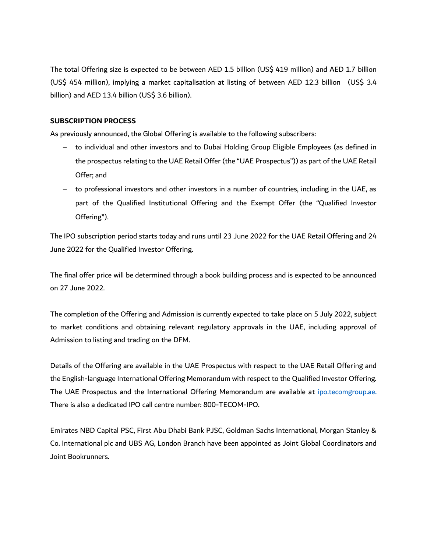The total Offering size is expected to be between AED 1.5 billion (US\$ 419 million) and AED 1.7 billion (US\$ 454 million), implying a market capitalisation at listing of between AED 12.3 billion (US\$ 3.4 billion) and AED 13.4 billion (US\$ 3.6 billion).

## **SUBSCRIPTION PROCESS**

As previously announced, the Global Offering is available to the following subscribers:

- − to individual and other investors and to Dubai Holding Group Eligible Employees (as defined in the prospectus relating to the UAE Retail Offer (the "UAE Prospectus")) as part of the UAE Retail Offer; and
- − to professional investors and other investors in a number of countries, including in the UAE, as part of the Qualified Institutional Offering and the Exempt Offer (the "Qualified Investor Offering**"**).

The IPO subscription period starts today and runs until 23 June 2022 for the UAE Retail Offering and 24 June 2022 for the Qualified Investor Offering.

The final offer price will be determined through a book building process and is expected to be announced on 27 June 2022.

The completion of the Offering and Admission is currently expected to take place on 5 July 2022, subject to market conditions and obtaining relevant regulatory approvals in the UAE, including approval of Admission to listing and trading on the DFM.

Details of the Offering are available in the UAE Prospectus with respect to the UAE Retail Offering and the English-language International Offering Memorandum with respect to the Qualified Investor Offering. The UAE Prospectus and the International Offering Memorandum are available at [ipo.tecomgroup.ae.](https://ipo.tecomgroup.ae/) There is also a dedicated IPO call centre number: 800-TECOM-IPO.

Emirates NBD Capital PSC, First Abu Dhabi Bank PJSC, Goldman Sachs International, Morgan Stanley & Co. International plc and UBS AG, London Branch have been appointed as Joint Global Coordinators and Joint Bookrunners.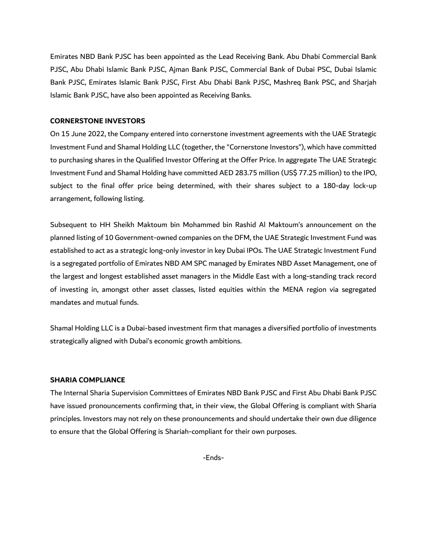Emirates NBD Bank PJSC has been appointed as the Lead Receiving Bank. Abu Dhabi Commercial Bank PJSC, Abu Dhabi Islamic Bank PJSC, Ajman Bank PJSC, Commercial Bank of Dubai PSC, Dubai Islamic Bank PJSC, Emirates Islamic Bank PJSC, First Abu Dhabi Bank PJSC, Mashreq Bank PSC, and Sharjah Islamic Bank PJSC, have also been appointed as Receiving Banks.

#### **CORNERSTONE INVESTORS**

On 15 June 2022, the Company entered into cornerstone investment agreements with the UAE Strategic Investment Fund and Shamal Holding LLC (together, the "Cornerstone Investors"), which have committed to purchasing shares in the Qualified Investor Offering at the Offer Price. In aggregate The UAE Strategic Investment Fund and Shamal Holding have committed AED 283.75 million (US\$ 77.25 million) to the IPO, subject to the final offer price being determined, with their shares subject to a 180-day lock-up arrangement, following listing.

Subsequent to HH Sheikh Maktoum bin Mohammed bin Rashid Al Maktoum's announcement on the planned listing of 10 Government-owned companies on the DFM, the UAE Strategic Investment Fund was established to act as a strategic long-only investor in key Dubai IPOs. The UAE Strategic Investment Fund is a segregated portfolio of Emirates NBD AM SPC managed by Emirates NBD Asset Management, one of the largest and longest established asset managers in the Middle East with a long-standing track record of investing in, amongst other asset classes, listed equities within the MENA region via segregated mandates and mutual funds.

Shamal Holding LLC is a Dubai-based investment firm that manages a diversified portfolio of investments strategically aligned with Dubai's economic growth ambitions.

### **SHARIA COMPLIANCE**

The Internal Sharia Supervision Committees of Emirates NBD Bank PJSC and First Abu Dhabi Bank PJSC have issued pronouncements confirming that, in their view, the Global Offering is compliant with Sharia principles. Investors may not rely on these pronouncements and should undertake their own due diligence to ensure that the Global Offering is Shariah-compliant for their own purposes.

-Ends-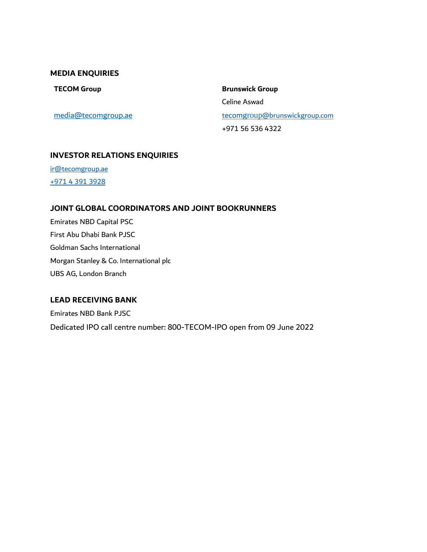# **MEDIA ENQUIRIES**

[media@tecomgroup.ae](mailto:media@tecomgroup.ae)

**TECOM Group 19 COM Group 19 COM Group 19 COM Group 19 COM Brunswick Group** Celine Aswad tecomgroup[@brunswickgroup.com](mailto:tecomgroup@brunswickgroup.com) +971 56 536 4322

# **INVESTOR RELATIONS ENQUIRIES**

[ir@tecomgroup.ae](mailto:ir@tecomgroup.ae) +971 4 391 3928

# **JOINT GLOBAL COORDINATORS AND JOINT BOOKRUNNERS**

Emirates NBD Capital PSC First Abu Dhabi Bank PJSC Goldman Sachs International Morgan Stanley & Co. International plc UBS AG, London Branch

## **LEAD RECEIVING BANK**

Emirates NBD Bank PJSC Dedicated IPO call centre number: 800-TECOM-IPO open from 09 June 2022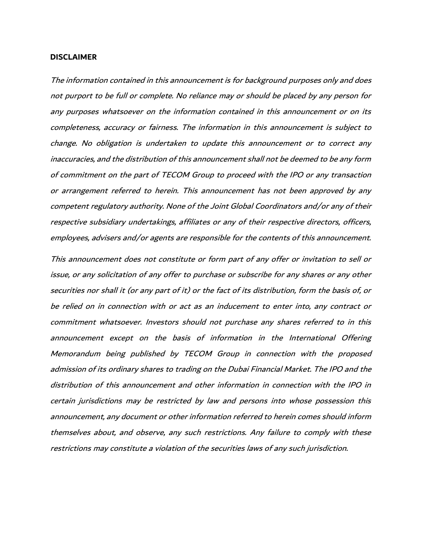#### **DISCLAIMER**

The information contained in this announcement is for background purposes only and does not purport to be full or complete. No reliance may or should be placed by any person for any purposes whatsoever on the information contained in this announcement or on its completeness, accuracy or fairness. The information in this announcement is subject to change. No obligation is undertaken to update this announcement or to correct any inaccuracies, and the distribution of this announcement shall not be deemed to be any form of commitment on the part of TECOM Group to proceed with the IPO or any transaction or arrangement referred to herein. This announcement has not been approved by any competent regulatory authority. None of the Joint Global Coordinators and/or any of their respective subsidiary undertakings, affiliates or any of their respective directors, officers, employees, advisers and/or agents are responsible for the contents of this announcement.

This announcement does not constitute or form part of any offer or invitation to sell or issue, or any solicitation of any offer to purchase or subscribe for any shares or any other securities nor shall it (or any part of it) or the fact of its distribution, form the basis of, or be relied on in connection with or act as an inducement to enter into, any contract or commitment whatsoever. Investors should not purchase any shares referred to in this announcement except on the basis of information in the International Offering Memorandum being published by TECOM Group in connection with the proposed admission of its ordinary shares to trading on the Dubai Financial Market. The IPO and the distribution of this announcement and other information in connection with the IPO in certain jurisdictions may be restricted by law and persons into whose possession this announcement, any document or other information referred to herein comes should inform themselves about, and observe, any such restrictions. Any failure to comply with these restrictions may constitute a violation of the securities laws of any such jurisdiction.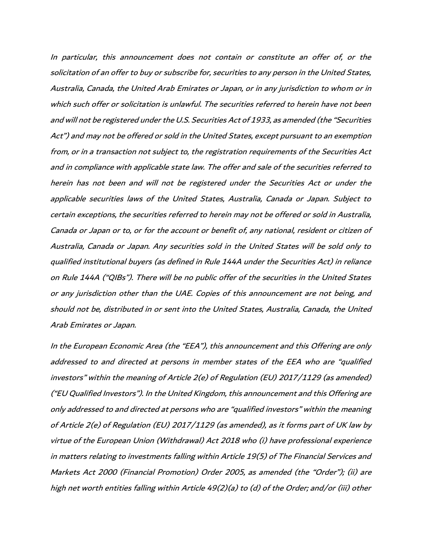In particular, this announcement does not contain or constitute an offer of, or the solicitation of an offer to buy or subscribe for, securities to any person in the United States, Australia, Canada, the United Arab Emirates or Japan, or in any jurisdiction to whom or in which such offer or solicitation is unlawful. The securities referred to herein have not been and will not be registered under the U.S. Securities Act of 1933, as amended (the "Securities Act") and may not be offered or sold in the United States, except pursuant to an exemption from, or in a transaction not subject to, the registration requirements of the Securities Act and in compliance with applicable state law. The offer and sale of the securities referred to herein has not been and will not be registered under the Securities Act or under the applicable securities laws of the United States, Australia, Canada or Japan. Subject to certain exceptions, the securities referred to herein may not be offered or sold in Australia, Canada or Japan or to, or for the account or benefit of, any national, resident or citizen of Australia, Canada or Japan. Any securities sold in the United States will be sold only to qualified institutional buyers (as defined in Rule 144A under the Securities Act) in reliance on Rule 144A ("QIBs"). There will be no public offer of the securities in the United States or any jurisdiction other than the UAE. Copies of this announcement are not being, and should not be, distributed in or sent into the United States, Australia, Canada, the United Arab Emirates or Japan.

In the European Economic Area (the "EEA"), this announcement and this Offering are only addressed to and directed at persons in member states of the EEA who are "qualified investors" within the meaning of Article 2(e) of Regulation (EU) 2017/1129 (as amended) ("EU Qualified Investors"). In the United Kingdom, this announcement and this Offering are only addressed to and directed at persons who are "qualified investors" within the meaning of Article 2(e) of Regulation (EU) 2017/1129 (as amended), as it forms part of UK law by virtue of the European Union (Withdrawal) Act 2018 who (i) have professional experience in matters relating to investments falling within Article 19(5) of The Financial Services and Markets Act 2000 (Financial Promotion) Order 2005, as amended (the "Order"); (ii) are high net worth entities falling within Article 49(2)(a) to (d) of the Order; and/or (iii) other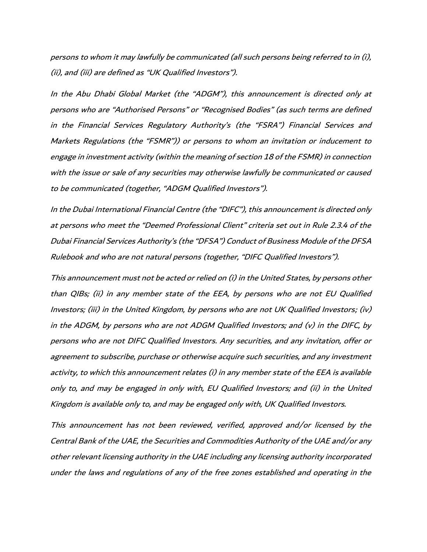persons to whom it may lawfully be communicated (all such persons being referred to in (i), (ii), and (iii) are defined as "UK Qualified Investors").

In the Abu Dhabi Global Market (the "ADGM"), this announcement is directed only at persons who are "Authorised Persons" or "Recognised Bodies" (as such terms are defined in the Financial Services Regulatory Authority's (the "FSRA") Financial Services and Markets Regulations (the "FSMR")) or persons to whom an invitation or inducement to engage in investment activity (within the meaning of section 18 of the FSMR) in connection with the issue or sale of any securities may otherwise lawfully be communicated or caused to be communicated (together, "ADGM Qualified Investors").

In the Dubai International Financial Centre (the "DIFC"), this announcement is directed only at persons who meet the "Deemed Professional Client" criteria set out in Rule 2.3.4 of the Dubai Financial Services Authority's (the "DFSA") Conduct of Business Module of the DFSA Rulebook and who are not natural persons (together, "DIFC Qualified Investors").

This announcement must not be acted or relied on (i) in the United States, by persons other than QIBs; (ii) in any member state of the EEA, by persons who are not EU Qualified Investors; (iii) in the United Kingdom, by persons who are not UK Qualified Investors; (iv) in the ADGM, by persons who are not ADGM Qualified Investors; and (v) in the DIFC, by persons who are not DIFC Qualified Investors. Any securities, and any invitation, offer or agreement to subscribe, purchase or otherwise acquire such securities, and any investment activity, to which this announcement relates (i) in any member state of the EEA is available only to, and may be engaged in only with, EU Qualified Investors; and (ii) in the United Kingdom is available only to, and may be engaged only with, UK Qualified Investors.

This announcement has not been reviewed, verified, approved and/or licensed by the Central Bank of the UAE, the Securities and Commodities Authority of the UAE and/or any other relevant licensing authority in the UAE including any licensing authority incorporated under the laws and regulations of any of the free zones established and operating in the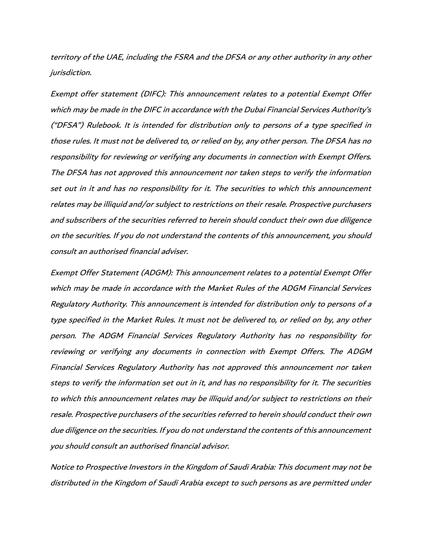territory of the UAE, including the FSRA and the DFSA or any other authority in any other jurisdiction.

Exempt offer statement (DIFC): This announcement relates to a potential Exempt Offer which may be made in the DIFC in accordance with the Dubai Financial Services Authority's ("DFSA") Rulebook. It is intended for distribution only to persons of a type specified in those rules. It must not be delivered to, or relied on by, any other person. The DFSA has no responsibility for reviewing or verifying any documents in connection with Exempt Offers. The DFSA has not approved this announcement nor taken steps to verify the information set out in it and has no responsibility for it. The securities to which this announcement relates may be illiquid and/or subject to restrictions on their resale. Prospective purchasers and subscribers of the securities referred to herein should conduct their own due diligence on the securities. If you do not understand the contents of this announcement, you should consult an authorised financial adviser.

Exempt Offer Statement (ADGM): This announcement relates to a potential Exempt Offer which may be made in accordance with the Market Rules of the ADGM Financial Services Regulatory Authority. This announcement is intended for distribution only to persons of a type specified in the Market Rules. It must not be delivered to, or relied on by, any other person. The ADGM Financial Services Regulatory Authority has no responsibility for reviewing or verifying any documents in connection with Exempt Offers. The ADGM Financial Services Regulatory Authority has not approved this announcement nor taken steps to verify the information set out in it, and has no responsibility for it. The securities to which this announcement relates may be illiquid and/or subject to restrictions on their resale. Prospective purchasers of the securities referred to herein should conduct their own due diligence on the securities. If you do not understand the contents of this announcement you should consult an authorised financial advisor.

Notice to Prospective Investors in the Kingdom of Saudi Arabia: This document may not be distributed in the Kingdom of Saudi Arabia except to such persons as are permitted under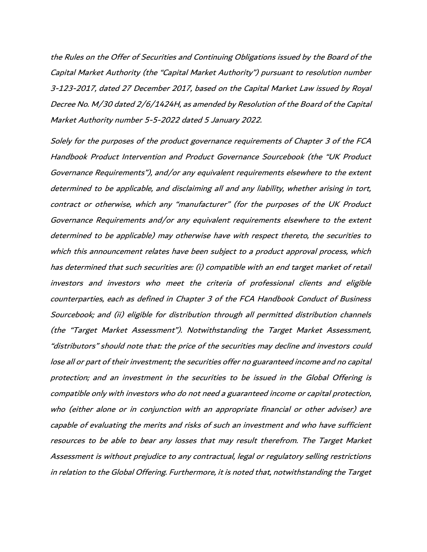the Rules on the Offer of Securities and Continuing Obligations issued by the Board of the Capital Market Authority (the "Capital Market Authority") pursuant to resolution number 3-123-2017, dated 27 December 2017, based on the Capital Market Law issued by Royal Decree No. M/30 dated 2/6/1424H, as amended by Resolution of the Board of the Capital Market Authority number 5-5-2022 dated 5 January 2022.

Solely for the purposes of the product governance requirements of Chapter 3 of the FCA Handbook Product Intervention and Product Governance Sourcebook (the "UK Product Governance Requirements"), and/or any equivalent requirements elsewhere to the extent determined to be applicable, and disclaiming all and any liability, whether arising in tort, contract or otherwise, which any "manufacturer" (for the purposes of the UK Product Governance Requirements and/or any equivalent requirements elsewhere to the extent determined to be applicable) may otherwise have with respect thereto, the securities to which this announcement relates have been subject to a product approval process, which has determined that such securities are: (i) compatible with an end target market of retail investors and investors who meet the criteria of professional clients and eligible counterparties, each as defined in Chapter 3 of the FCA Handbook Conduct of Business Sourcebook; and (ii) eligible for distribution through all permitted distribution channels (the "Target Market Assessment"). Notwithstanding the Target Market Assessment, "distributors" should note that: the price of the securities may decline and investors could lose all or part of their investment; the securities offer no guaranteed income and no capital protection; and an investment in the securities to be issued in the Global Offering is compatible only with investors who do not need a guaranteed income or capital protection, who (either alone or in conjunction with an appropriate financial or other adviser) are capable of evaluating the merits and risks of such an investment and who have sufficient resources to be able to bear any losses that may result therefrom. The Target Market Assessment is without prejudice to any contractual, legal or regulatory selling restrictions in relation to the Global Offering. Furthermore, it is noted that, notwithstanding the Target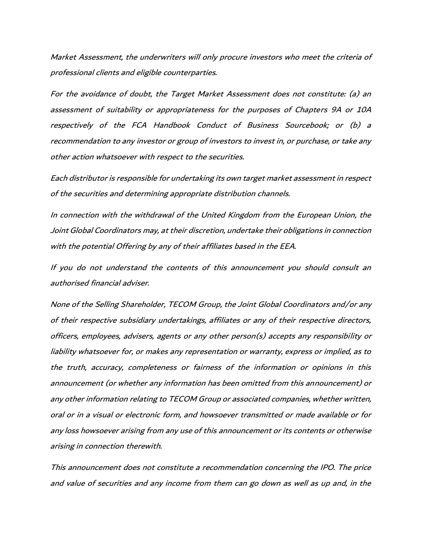Market Assessment, the underwriters will only procure investors who meet the criteria of professional clients and eligible counterparties.

For the avoidance of doubt, the Target Market Assessment does not constitute: (a) an assessment of suitability or appropriateness for the purposes of Chapters 9A or 10A respectively of the FCA Handbook Conduct of Business Sourcebook; or (b) a recommendation to any investor or group of investors to invest in, or purchase, or take any other action whatsoever with respect to the securities.

Each distributor is responsible for undertaking its own target market assessment in respect of the securities and determining appropriate distribution channels.

In connection with the withdrawal of the United Kingdom from the European Union, the Joint Global Coordinators may, at their discretion, undertake their obligations in connection with the potential Offering by any of their affiliates based in the EEA.

If you do not understand the contents of this announcement you should consult an authorised financial adviser.

None of the Selling Shareholder, TECOM Group, the Joint Global Coordinators and/or any of their respective subsidiary undertakings, affiliates or any of their respective directors, officers, employees, advisers, agents or any other person(s) accepts any responsibility or liability whatsoever for, or makes any representation or warranty, express or implied, as to the truth, accuracy, completeness or fairness of the information or opinions in this announcement (or whether any information has been omitted from this announcement) or any other information relating to TECOM Group or associated companies, whether written, oral or in a visual or electronic form, and howsoever transmitted or made available or for any loss howsoever arising from any use of this announcement or its contents or otherwise arising in connection therewith.

This announcement does not constitute a recommendation concerning the IPO. The price and value of securities and any income from them can go down as well as up and, in the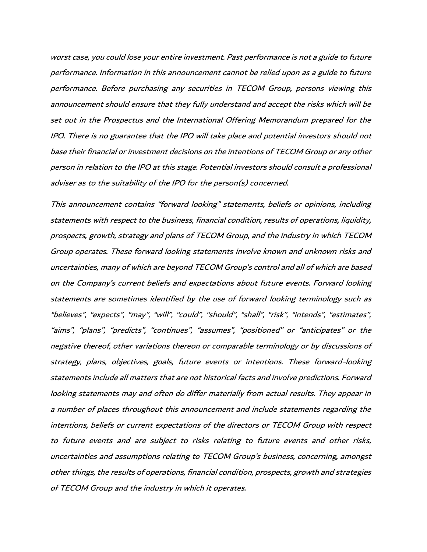worst case, you could lose your entire investment. Past performance is not a guide to future performance. Information in this announcement cannot be relied upon as a guide to future performance. Before purchasing any securities in TECOM Group, persons viewing this announcement should ensure that they fully understand and accept the risks which will be set out in the Prospectus and the International Offering Memorandum prepared for the IPO. There is no guarantee that the IPO will take place and potential investors should not base their financial or investment decisions on the intentions of TECOM Group or any other person in relation to the IPO at this stage. Potential investors should consult a professional adviser as to the suitability of the IPO for the person(s) concerned.

This announcement contains "forward looking" statements, beliefs or opinions, including statements with respect to the business, financial condition, results of operations, liquidity, prospects, growth, strategy and plans of TECOM Group, and the industry in which TECOM Group operates. These forward looking statements involve known and unknown risks and uncertainties, many of which are beyond TECOM Group's control and all of which are based on the Company's current beliefs and expectations about future events. Forward looking statements are sometimes identified by the use of forward looking terminology such as "believes", "expects", "may", "will", "could", "should", "shall", "risk", "intends", "estimates", "aims", "plans", "predicts", "continues", "assumes", "positioned" or "anticipates" or the negative thereof, other variations thereon or comparable terminology or by discussions of strategy, plans, objectives, goals, future events or intentions. These forward-looking statements include all matters that are not historical facts and involve predictions. Forward looking statements may and often do differ materially from actual results. They appear in a number of places throughout this announcement and include statements regarding the intentions, beliefs or current expectations of the directors or TECOM Group with respect to future events and are subject to risks relating to future events and other risks, uncertainties and assumptions relating to TECOM Group's business, concerning, amongst other things, the results of operations, financial condition, prospects, growth and strategies of TECOM Group and the industry in which it operates.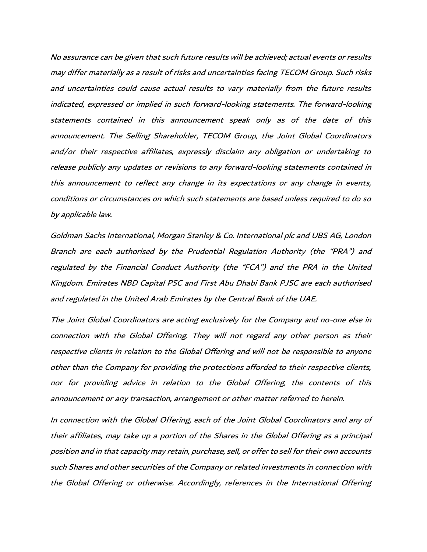No assurance can be given that such future results will be achieved; actual events or results may differ materially as a result of risks and uncertainties facing TECOM Group. Such risks and uncertainties could cause actual results to vary materially from the future results indicated, expressed or implied in such forward-looking statements. The forward-looking statements contained in this announcement speak only as of the date of this announcement. The Selling Shareholder, TECOM Group, the Joint Global Coordinators and/or their respective affiliates, expressly disclaim any obligation or undertaking to release publicly any updates or revisions to any forward-looking statements contained in this announcement to reflect any change in its expectations or any change in events, conditions or circumstances on which such statements are based unless required to do so by applicable law.

Goldman Sachs International, Morgan Stanley & Co. International plc and UBS AG, London Branch are each authorised by the Prudential Regulation Authority (the "PRA") and regulated by the Financial Conduct Authority (the "FCA") and the PRA in the United Kingdom. Emirates NBD Capital PSC and First Abu Dhabi Bank PJSC are each authorised and regulated in the United Arab Emirates by the Central Bank of the UAE.

The Joint Global Coordinators are acting exclusively for the Company and no-one else in connection with the Global Offering. They will not regard any other person as their respective clients in relation to the Global Offering and will not be responsible to anyone other than the Company for providing the protections afforded to their respective clients, nor for providing advice in relation to the Global Offering, the contents of this announcement or any transaction, arrangement or other matter referred to herein.

In connection with the Global Offering, each of the Joint Global Coordinators and any of their affiliates, may take up a portion of the Shares in the Global Offering as a principal position and in that capacity may retain, purchase, sell, or offer to sell for their own accounts such Shares and other securities of the Company or related investments in connection with the Global Offering or otherwise. Accordingly, references in the International Offering